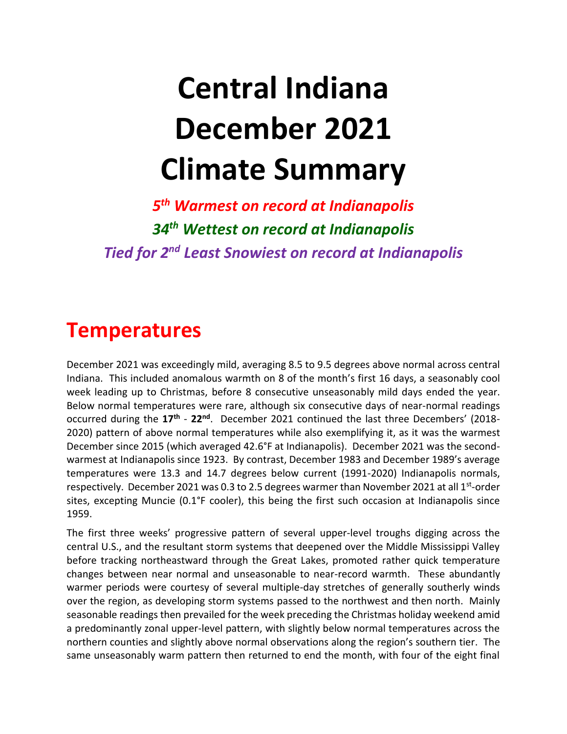# **Central Indiana December 2021 Climate Summary**

*5 th Warmest on record at Indianapolis 34 th Wettest on record at Indianapolis Tied for 2 nd Least Snowiest on record at Indianapolis*

### **Temperatures**

December 2021 was exceedingly mild, averaging 8.5 to 9.5 degrees above normal across central Indiana. This included anomalous warmth on 8 of the month's first 16 days, a seasonably cool week leading up to Christmas, before 8 consecutive unseasonably mild days ended the year. Below normal temperatures were rare, although six consecutive days of near-normal readings occurred during the  $17<sup>th</sup>$  -  $22<sup>nd</sup>$ . December 2021 continued the last three Decembers' (2018-2020) pattern of above normal temperatures while also exemplifying it, as it was the warmest December since 2015 (which averaged 42.6°F at Indianapolis). December 2021 was the secondwarmest at Indianapolis since 1923. By contrast, December 1983 and December 1989's average temperatures were 13.3 and 14.7 degrees below current (1991-2020) Indianapolis normals, respectively. December 2021 was 0.3 to 2.5 degrees warmer than November 2021 at all 1<sup>st</sup>-order sites, excepting Muncie (0.1°F cooler), this being the first such occasion at Indianapolis since 1959.

The first three weeks' progressive pattern of several upper-level troughs digging across the central U.S., and the resultant storm systems that deepened over the Middle Mississippi Valley before tracking northeastward through the Great Lakes, promoted rather quick temperature changes between near normal and unseasonable to near-record warmth. These abundantly warmer periods were courtesy of several multiple-day stretches of generally southerly winds over the region, as developing storm systems passed to the northwest and then north. Mainly seasonable readings then prevailed for the week preceding the Christmas holiday weekend amid a predominantly zonal upper-level pattern, with slightly below normal temperatures across the northern counties and slightly above normal observations along the region's southern tier. The same unseasonably warm pattern then returned to end the month, with four of the eight final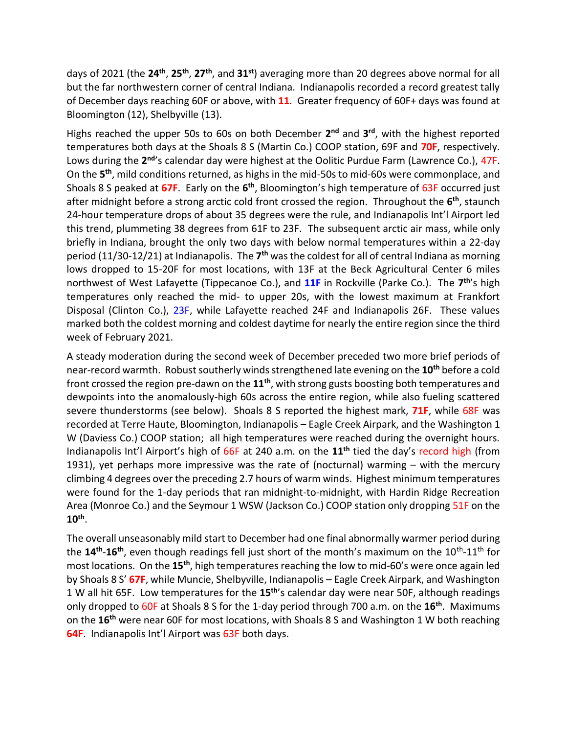days of 2021 (the **24th** , **25th** , **27th**, and **31st**) averaging more than 20 degrees above normal for all but the far northwestern corner of central Indiana. Indianapolis recorded a record greatest tally of December days reaching 60F or above, with **11**. Greater frequency of 60F+ days was found at Bloomington (12), Shelbyville (13).

Highs reached the upper 50s to 60s on both December **2 nd** and **3 rd** , with the highest reported temperatures both days at the Shoals 8 S (Martin Co.) COOP station, 69F and **70F**, respectively. Lows during the 2<sup>nd</sup>'s calendar day were highest at the Oolitic Purdue Farm (Lawrence Co.), 47F. On the **5 th**, mild conditions returned, as highs in the mid-50s to mid-60s were commonplace, and Shoals 8 S peaked at 67F. Early on the 6<sup>th</sup>, Bloomington's high temperature of 63F occurred just after midnight before a strong arctic cold front crossed the region. Throughout the **6 th**, staunch 24-hour temperature drops of about 35 degrees were the rule, and Indianapolis Int'l Airport led this trend, plummeting 38 degrees from 61F to 23F. The subsequent arctic air mass, while only briefly in Indiana, brought the only two days with below normal temperatures within a 22-day period (11/30-12/21) at Indianapolis. The **7 th** was the coldest for all of central Indiana as morning lows dropped to 15-20F for most locations, with 13F at the Beck Agricultural Center 6 miles northwest of West Lafayette (Tippecanoe Co.), and 11F in Rockville (Parke Co.). The 7<sup>th</sup>'s high temperatures only reached the mid- to upper 20s, with the lowest maximum at Frankfort Disposal (Clinton Co.), 23F, while Lafayette reached 24F and Indianapolis 26F. These values marked both the coldest morning and coldest daytime for nearly the entire region since the third week of February 2021.

A steady moderation during the second week of December preceded two more brief periods of near-record warmth. Robust southerly winds strengthened late evening on the **10th** before a cold front crossed the region pre-dawn on the **11th**, with strong gusts boosting both temperatures and dewpoints into the anomalously-high 60s across the entire region, while also fueling scattered severe thunderstorms (see below). Shoals 8 S reported the highest mark, **71F**, while 68F was recorded at Terre Haute, Bloomington, Indianapolis – Eagle Creek Airpark, and the Washington 1 W (Daviess Co.) COOP station; all high temperatures were reached during the overnight hours. Indianapolis Int'l Airport's high of 66F at 240 a.m. on the **11th** tied the day's record high (from 1931), yet perhaps more impressive was the rate of (nocturnal) warming – with the mercury climbing 4 degrees over the preceding 2.7 hours of warm winds. Highest minimum temperatures were found for the 1-day periods that ran midnight-to-midnight, with Hardin Ridge Recreation Area (Monroe Co.) and the Seymour 1 WSW (Jackson Co.) COOP station only dropping 51F on the **10th** .

The overall unseasonably mild start to December had one final abnormally warmer period during the 14<sup>th</sup>-16<sup>th</sup>, even though readings fell just short of the month's maximum on the 10<sup>th</sup>-11<sup>th</sup> for most locations. On the **15th**, high temperatures reaching the low to mid-60's were once again led by Shoals 8 S' **67F**, while Muncie, Shelbyville, Indianapolis – Eagle Creek Airpark, and Washington 1 W all hit 65F. Low temperatures for the **15th** 's calendar day were near 50F, although readings only dropped to 60F at Shoals 8 S for the 1-day period through 700 a.m. on the **16th** . Maximums on the **16th** were near 60F for most locations, with Shoals 8 S and Washington 1 W both reaching **64F**. Indianapolis Int'l Airport was 63F both days.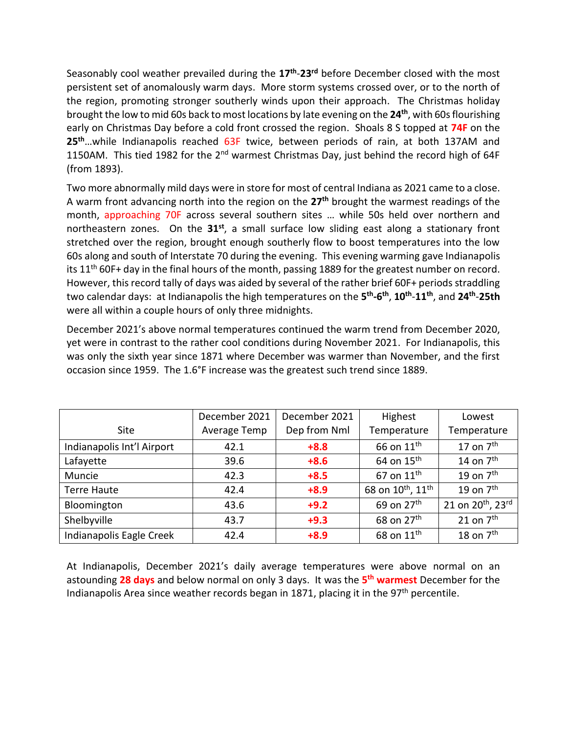Seasonably cool weather prevailed during the **17th** -**23rd** before December closed with the most persistent set of anomalously warm days. More storm systems crossed over, or to the north of the region, promoting stronger southerly winds upon their approach. The Christmas holiday brought the low to mid 60s back to most locations by late evening on the **24th**, with 60s flourishing early on Christmas Day before a cold front crossed the region. Shoals 8 S topped at **74F** on the **25th**…while Indianapolis reached 63F twice, between periods of rain, at both 137AM and 1150AM. This tied 1982 for the 2<sup>nd</sup> warmest Christmas Day, just behind the record high of 64F (from 1893).

Two more abnormally mild days were in store for most of central Indiana as 2021 came to a close. A warm front advancing north into the region on the **27th** brought the warmest readings of the month, approaching 70F across several southern sites … while 50s held over northern and northeastern zones. On the **31st**, a small surface low sliding east along a stationary front stretched over the region, brought enough southerly flow to boost temperatures into the low 60s along and south of Interstate 70 during the evening. This evening warming gave Indianapolis its 11<sup>th</sup> 60F+ day in the final hours of the month, passing 1889 for the greatest number on record. However, this record tally of days was aided by several of the rather brief 60F+ periods straddling two calendar days: at Indianapolis the high temperatures on the **5 th -6 th** , **10th** -**11th**, and **24th** -**25th** were all within a couple hours of only three midnights.

December 2021's above normal temperatures continued the warm trend from December 2020, yet were in contrast to the rather cool conditions during November 2021. For Indianapolis, this was only the sixth year since 1871 where December was warmer than November, and the first occasion since 1959. The 1.6°F increase was the greatest such trend since 1889.

|                            | December 2021 | December 2021 | Highest                                   | Lowest                        |
|----------------------------|---------------|---------------|-------------------------------------------|-------------------------------|
| Site                       | Average Temp  | Dep from Nml  | Temperature                               | Temperature                   |
| Indianapolis Int'l Airport | 42.1          | $+8.8$        | 66 on 11 <sup>th</sup>                    | 17 on $7th$                   |
| Lafayette                  | 39.6          | $+8.6$        | 64 on $15th$                              | 14 on $7th$                   |
| Muncie                     | 42.3          | $+8.5$        | 67 on $11th$                              | 19 on $7th$                   |
| Terre Haute                | 42.4          | $+8.9$        | 68 on 10 <sup>th</sup> , 11 <sup>th</sup> | 19 on $7th$                   |
| Bloomington                | 43.6          | $+9.2$        | 69 on 27 <sup>th</sup>                    | 21 on 20 <sup>th</sup> , 23rd |
| Shelbyville                | 43.7          | $+9.3$        | 68 on 27 <sup>th</sup>                    | 21 on $7th$                   |
| Indianapolis Eagle Creek   | 42.4          | $+8.9$        | 68 on 11 <sup>th</sup>                    | 18 on $7th$                   |

At Indianapolis, December 2021's daily average temperatures were above normal on an astounding **28 days** and below normal on only 3 days. It was the **5 th warmest** December for the Indianapolis Area since weather records began in 1871, placing it in the  $97<sup>th</sup>$  percentile.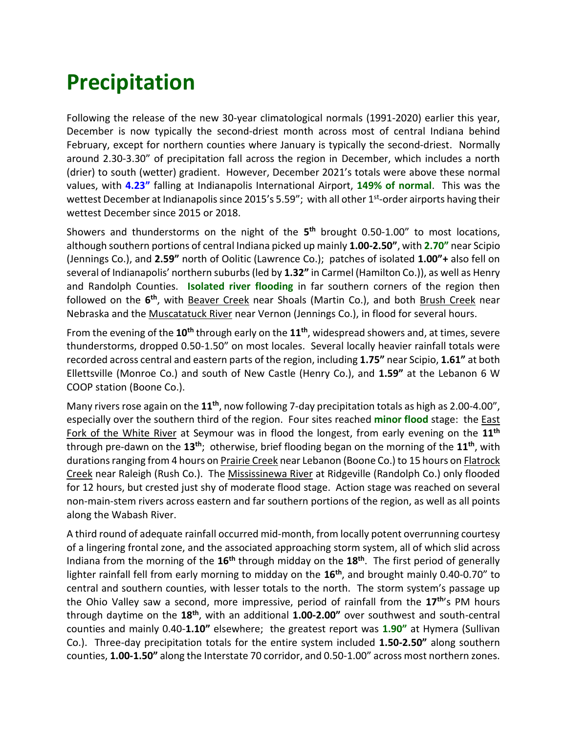## **Precipitation**

Following the release of the new 30-year climatological normals (1991-2020) earlier this year, December is now typically the second-driest month across most of central Indiana behind February, except for northern counties where January is typically the second-driest. Normally around 2.30-3.30" of precipitation fall across the region in December, which includes a north (drier) to south (wetter) gradient. However, December 2021's totals were above these normal values, with **4.23"** falling at Indianapolis International Airport, **149% of normal**. This was the wettest December at Indianapolis since 2015's 5.59"; with all other 1<sup>st</sup>-order airports having their wettest December since 2015 or 2018.

Showers and thunderstorms on the night of the **5 th** brought 0.50-1.00" to most locations, although southern portions of central Indiana picked up mainly **1.00-2.50"**, with **2.70"** near Scipio (Jennings Co.), and **2.59"** north of Oolitic (Lawrence Co.); patches of isolated **1.00"+** also fell on several of Indianapolis' northern suburbs (led by **1.32"** in Carmel (Hamilton Co.)), as well as Henry and Randolph Counties. **Isolated river flooding** in far southern corners of the region then followed on the 6<sup>th</sup>, with Beaver Creek near Shoals (Martin Co.), and both Brush Creek near Nebraska and the Muscatatuck River near Vernon (Jennings Co.), in flood for several hours.

From the evening of the **10th** through early on the **11th**, widespread showers and, at times, severe thunderstorms, dropped 0.50-1.50" on most locales. Several locally heavier rainfall totals were recorded across central and eastern parts of the region, including **1.75"** near Scipio, **1.61"** at both Ellettsville (Monroe Co.) and south of New Castle (Henry Co.), and **1.59"** at the Lebanon 6 W COOP station (Boone Co.).

Many rivers rose again on the **11th** , now following 7-day precipitation totals as high as 2.00-4.00", especially over the southern third of the region. Four sites reached **minor flood** stage: the East Fork of the White River at Seymour was in flood the longest, from early evening on the **11th** through pre-dawn on the **13th**; otherwise, brief flooding began on the morning of the **11th**, with durations ranging from 4 hours on Prairie Creek near Lebanon (Boone Co.) to 15 hours on Flatrock Creek near Raleigh (Rush Co.). The Mississinewa River at Ridgeville (Randolph Co.) only flooded for 12 hours, but crested just shy of moderate flood stage. Action stage was reached on several non-main-stem rivers across eastern and far southern portions of the region, as well as all points along the Wabash River.

A third round of adequate rainfall occurred mid-month, from locally potent overrunning courtesy of a lingering frontal zone, and the associated approaching storm system, all of which slid across Indiana from the morning of the **16th** through midday on the **18th** . The first period of generally lighter rainfall fell from early morning to midday on the **16th**, and brought mainly 0.40-0.70" to central and southern counties, with lesser totals to the north. The storm system's passage up the Ohio Valley saw a second, more impressive, period of rainfall from the **17th**'s PM hours through daytime on the **18th**, with an additional **1.00-2.00"** over southwest and south-central counties and mainly 0.40-**1.10"** elsewhere; the greatest report was **1.90"** at Hymera (Sullivan Co.). Three-day precipitation totals for the entire system included **1.50-2.50"** along southern counties, **1.00-1.50"** along the Interstate 70 corridor, and 0.50-1.00" across most northern zones.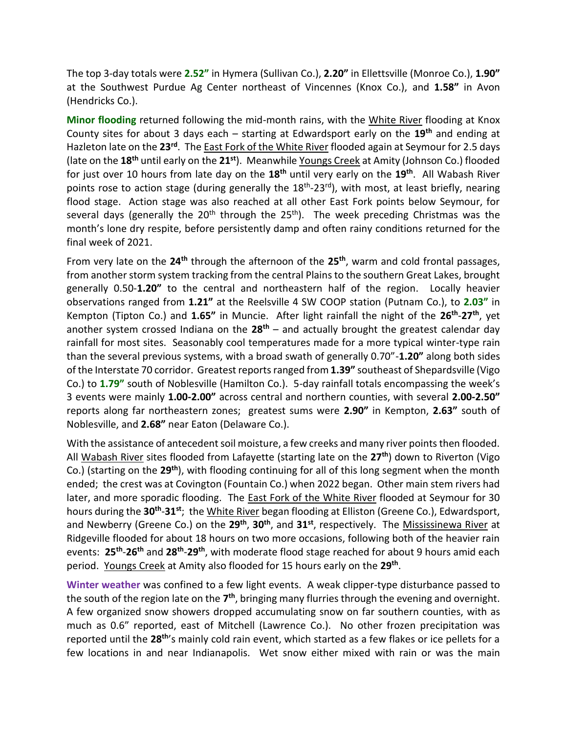The top 3-day totals were **2.52"** in Hymera (Sullivan Co.), **2.20"** in Ellettsville (Monroe Co.), **1.90"**  at the Southwest Purdue Ag Center northeast of Vincennes (Knox Co.), and **1.58"** in Avon (Hendricks Co.).

**Minor flooding** returned following the mid-month rains, with the White River flooding at Knox County sites for about 3 days each – starting at Edwardsport early on the **19th** and ending at Hazleton late on the **23rd**. The East Fork of the White River flooded again at Seymour for 2.5 days (late on the **18th** until early on the **21 st**). Meanwhile Youngs Creek at Amity (Johnson Co.) flooded for just over 10 hours from late day on the **18th** until very early on the **19th** . All Wabash River points rose to action stage (during generally the 18<sup>th</sup>-23<sup>rd</sup>), with most, at least briefly, nearing flood stage. Action stage was also reached at all other East Fork points below Seymour, for several days (generally the  $20<sup>th</sup>$  through the  $25<sup>th</sup>$ ). The week preceding Christmas was the month's lone dry respite, before persistently damp and often rainy conditions returned for the final week of 2021.

From very late on the **24th** through the afternoon of the **25th**, warm and cold frontal passages, from another storm system tracking from the central Plains to the southern Great Lakes, brought generally 0.50-**1.20"** to the central and northeastern half of the region. Locally heavier observations ranged from **1.21"** at the Reelsville 4 SW COOP station (Putnam Co.), to **2.03"** in Kempton (Tipton Co.) and 1.65" in Muncie. After light rainfall the night of the 26<sup>th</sup>-27<sup>th</sup>, yet another system crossed Indiana on the **28th** – and actually brought the greatest calendar day rainfall for most sites. Seasonably cool temperatures made for a more typical winter-type rain than the several previous systems, with a broad swath of generally 0.70"-**1.20"** along both sides of the Interstate 70 corridor. Greatest reportsranged from **1.39"** southeast of Shepardsville (Vigo Co.) to **1.79"** south of Noblesville (Hamilton Co.). 5-day rainfall totals encompassing the week's 3 events were mainly **1.00-2.00"** across central and northern counties, with several **2.00-2.50"** reports along far northeastern zones; greatest sums were **2.90"** in Kempton, **2.63"** south of Noblesville, and **2.68"** near Eaton (Delaware Co.).

With the assistance of antecedent soil moisture, a few creeks and many river points then flooded. All Wabash River sites flooded from Lafayette (starting late on the **27th**) down to Riverton (Vigo Co.) (starting on the **29th**), with flooding continuing for all of this long segment when the month ended; the crest was at Covington (Fountain Co.) when 2022 began. Other main stem rivers had later, and more sporadic flooding. The East Fork of the White River flooded at Seymour for 30 hours during the **30th** -**31st**; the White River began flooding at Elliston (Greene Co.), Edwardsport, and Newberry (Greene Co.) on the **29th** , **30th**, and **31st**, respectively. The Mississinewa River at Ridgeville flooded for about 18 hours on two more occasions, following both of the heavier rain events: **25th** -**26th** and **28th** -**29th**, with moderate flood stage reached for about 9 hours amid each period. Youngs Creek at Amity also flooded for 15 hours early on the **29th** .

**Winter weather** was confined to a few light events. A weak clipper-type disturbance passed to the south of the region late on the 7<sup>th</sup>, bringing many flurries through the evening and overnight. A few organized snow showers dropped accumulating snow on far southern counties, with as much as 0.6" reported, east of Mitchell (Lawrence Co.). No other frozen precipitation was reported until the **28th**'s mainly cold rain event, which started as a few flakes or ice pellets for a few locations in and near Indianapolis. Wet snow either mixed with rain or was the main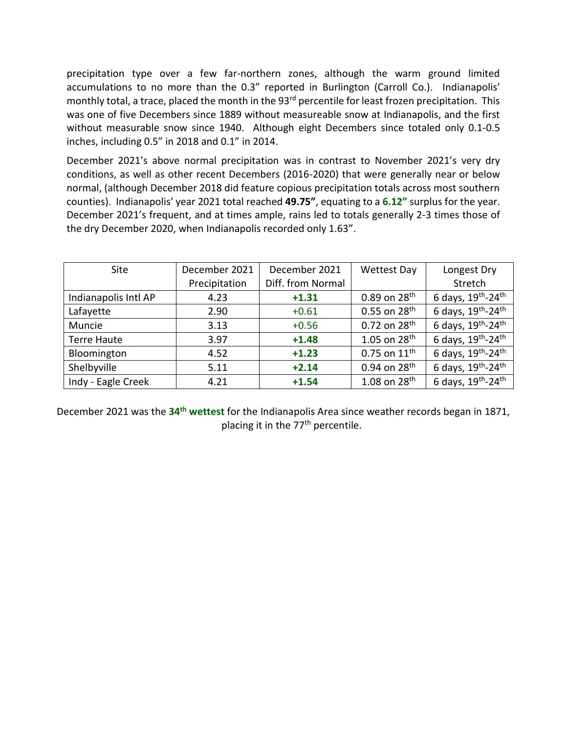precipitation type over a few far-northern zones, although the warm ground limited accumulations to no more than the 0.3" reported in Burlington (Carroll Co.). Indianapolis' monthly total, a trace, placed the month in the 93<sup>rd</sup> percentile for least frozen precipitation. This was one of five Decembers since 1889 without measureable snow at Indianapolis, and the first without measurable snow since 1940. Although eight Decembers since totaled only 0.1-0.5 inches, including 0.5" in 2018 and 0.1" in 2014.

December 2021's above normal precipitation was in contrast to November 2021's very dry conditions, as well as other recent Decembers (2016-2020) that were generally near or below normal, (although December 2018 did feature copious precipitation totals across most southern counties). Indianapolis' year 2021 total reached **49.75"**, equating to a **6.12"** surplus for the year. December 2021's frequent, and at times ample, rains led to totals generally 2-3 times those of the dry December 2020, when Indianapolis recorded only 1.63".

| Site                 | December 2021 | December 2021     | <b>Wettest Day</b>       | Longest Dry                                            |
|----------------------|---------------|-------------------|--------------------------|--------------------------------------------------------|
|                      | Precipitation | Diff. from Normal |                          | Stretch                                                |
| Indianapolis Intl AP | 4.23          | $+1.31$           | $0.89$ on $28^{th}$      | 6 days, 19th-24th                                      |
| Lafayette            | 2.90          | $+0.61$           | $0.55$ on $28^{th}$      | 6 days, 19th-24th                                      |
| Muncie               | 3.13          | $+0.56$           | $0.72$ on $28^{th}$      | 6 days, 19th-24th                                      |
| <b>Terre Haute</b>   | 3.97          | $+1.48$           | 1.05 on $28^{th}$        | 6 days, 19th-24th                                      |
| Bloomington          | 4.52          | $+1.23$           | 0.75 on $11^{th}$        | 6 days, $19^{\text{th}}$ -24 $^{\overline{\text{th}}}$ |
| Shelbyville          | 5.11          | $+2.14$           | 0.94 on 28 <sup>th</sup> | 6 days, 19th-24th                                      |
| Indy - Eagle Creek   | 4.21          | $+1.54$           | 1.08 on $28^{th}$        | 6 days, 19th-24th                                      |

December 2021 was the **34th wettest** for the Indianapolis Area since weather records began in 1871, placing it in the 77<sup>th</sup> percentile.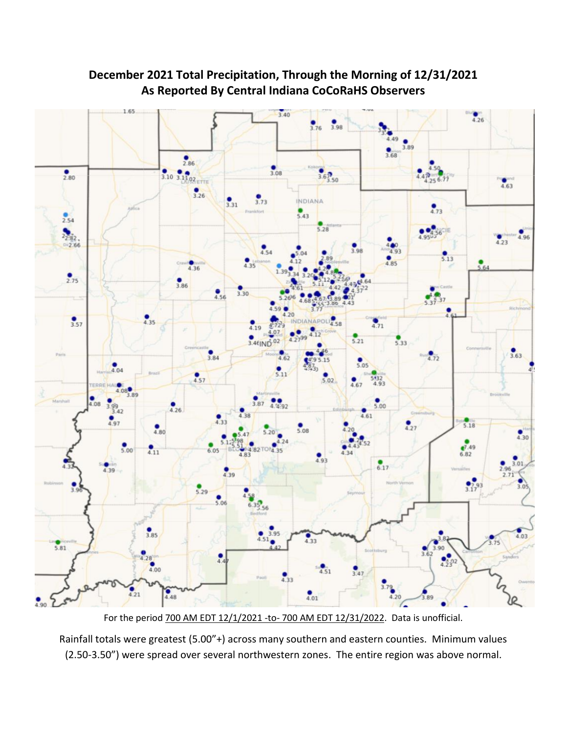

#### **December 2021 Total Precipitation, Through the Morning of 12/31/2021 As Reported By Central Indiana CoCoRaHS Observers**

For the period 700 AM EDT 12/1/2021 -to- 700 AM EDT 12/31/2022. Data is unofficial.

Rainfall totals were greatest (5.00"+) across many southern and eastern counties. Minimum values (2.50-3.50") were spread over several northwestern zones. The entire region was above normal.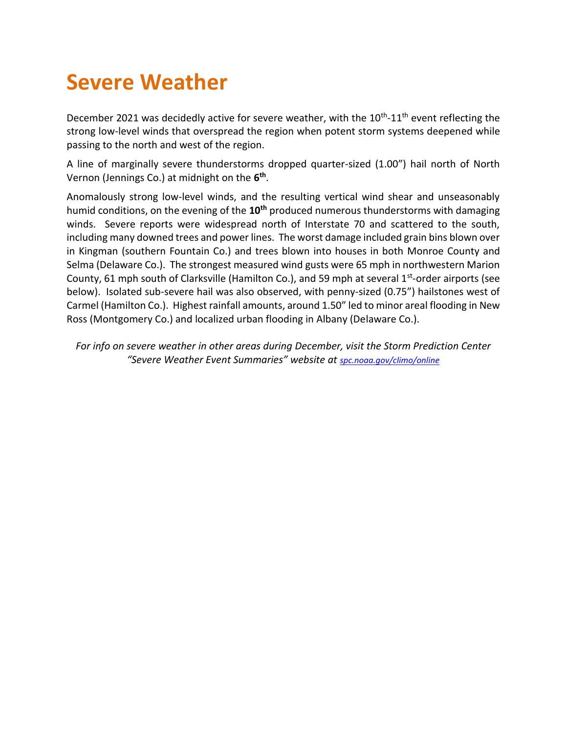### **Severe Weather**

December 2021 was decidedly active for severe weather, with the 10<sup>th</sup>-11<sup>th</sup> event reflecting the strong low-level winds that overspread the region when potent storm systems deepened while passing to the north and west of the region.

A line of marginally severe thunderstorms dropped quarter-sized (1.00") hail north of North Vernon (Jennings Co.) at midnight on the **6 th** .

Anomalously strong low-level winds, and the resulting vertical wind shear and unseasonably humid conditions, on the evening of the **10th** produced numerous thunderstorms with damaging winds. Severe reports were widespread north of Interstate 70 and scattered to the south, including many downed trees and power lines. The worst damage included grain bins blown over in Kingman (southern Fountain Co.) and trees blown into houses in both Monroe County and Selma (Delaware Co.). The strongest measured wind gusts were 65 mph in northwestern Marion County, 61 mph south of Clarksville (Hamilton Co.), and 59 mph at several 1<sup>st</sup>-order airports (see below). Isolated sub-severe hail was also observed, with penny-sized (0.75") hailstones west of Carmel (Hamilton Co.). Highest rainfall amounts, around 1.50" led to minor areal flooding in New Ross (Montgomery Co.) and localized urban flooding in Albany (Delaware Co.).

*For info on severe weather in other areas during December, visit the Storm Prediction Center "Severe Weather Event Summaries" website at [spc.noaa.gov/climo/online](file://///IND-S-FILESVR/SavedFiles/Climate/Press%20Releases%20and%20News%20Stories/spc.noaa.gov/climo/online)*